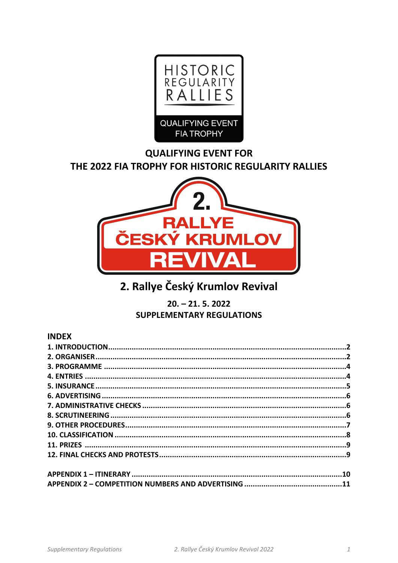

# **QUALIFYING EVENT FOR** THE 2022 FIA TROPHY FOR HISTORIC REGULARITY RALLIES



# 2. Rallye Český Krumlov Revival

 $20. - 21.5.2022$ **SUPPLEMENTARY REGULATIONS** 

# **INDEX**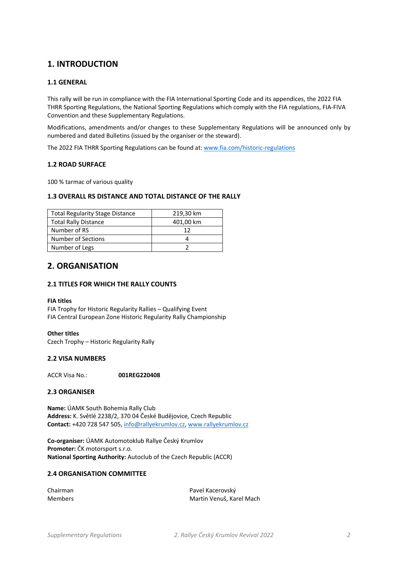# **1. INTRODUCTION**

### **1.1 GENERAL**

This rally will be run in compliance with the FIA International Sporting Code and its appendices, the 2022 FIA THRR Sporting Regulations, the National Sporting Regulations which comply with the FIA regulations, FIA‐FIVA Convention and these Supplementary Regulations.

Modifications, amendments and/or changes to these Supplementary Regulations will be announced only by numbered and dated Bulletins (issued by the organiser or the steward).

The 2022 FIA THRR Sporting Regulations can be found at: www.fia.com/historic-regulations

### **1.2 ROAD SURFACE**

100 % tarmac of various quality

### **1.3 OVERALL RS DISTANCE AND TOTAL DISTANCE OF THE RALLY**

| <b>Total Regularity Stage Distance</b> | 219,30 km |
|----------------------------------------|-----------|
| <b>Total Rally Distance</b>            | 401,00 km |
| Number of RS                           | 12        |
| Number of Sections                     |           |
| Number of Legs                         |           |

# **2. ORGANISATION**

### **2.1 TITLES FOR WHICH THE RALLY COUNTS**

#### **FIA titles**

FIA Trophy for Historic Regularity Rallies – Qualifying Event FIA Central European Zone Historic Regularity Rally Championship

**Other titles**  Czech Trophy – Historic Regularity Rally

### **2.2 VISA NUMBERS**

ACCR Visa No.: **001REG220408** 

#### **2.3 ORGANISER**

**Name:** ÚAMK South Bohemia Rally Club **Address:** K. Světlé 2238/2, 370 04 České Budějovice, Czech Republic **Contact:** +420 728 547 505, info@rallyekrumlov.cz, www.rallyekrumlov.cz

**Co‐organiser:** ÚAMK Automotoklub Rallye Český Krumlov **Promoter:** ČK motorsport s.r.o. **National Sporting Authority:** Autoclub of the Czech Republic (ACCR)

### **2.4 ORGANISATION COMMITTEE**

| Chairman |  |
|----------|--|
| Members  |  |

Pavel Kacerovský Martin Venuš, Karel Mach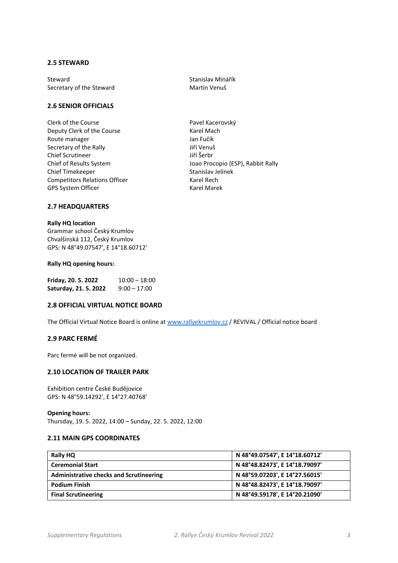### **2.5 STEWARD**

Steward<br>
Steretary of the Steward<br>
Secretary of the Steward<br>
Stanislav Martin Venuš Secretary of the Steward

### **2.6 SENIOR OFFICIALS**

Clerk of the Course<br>
Deputy Clerk of the Course<br>
Rarel Mach Deputy Clerk of the Course Route manager **Internal and Tanach American** Jan Fučík Secretary of the Rally **Secretary of the Rally 11 Secretary of the Rally** Chief Scrutineer Jiří Šerbr Chief Timekeeper Stanislav Jelínek Competitors Relations Officer **1998** Karel Rech GPS System Officer **Branch Controller System Officer Karel Marek** 

Chief of Results System Joao Procopio (ESP), Rabbit Rally

### **2.7 HEADQUARTERS**

### **Rally HQ location**

Grammar school Český Krumlov Chvalšinská 112, Český Krumlov GPS: N 48°49.07547', E 14°18.60712'

#### **Rally HQ opening hours:**

| Friday, 20. 5. 2022   | $10:00 - 18:00$ |
|-----------------------|-----------------|
| Saturday, 21. 5. 2022 | $9:00 - 17:00$  |

### **2.8 OFFICIAL VIRTUAL NOTICE BOARD**

The Official Virtual Notice Board is online at www.rallyekrumlov.cz / REVIVAL / Official notice board

### **2.9 PARC FERMÉ**

Parc fermé will be not organized.

### **2.10 LOCATION OF TRAILER PARK**

Exhibition centre České Budějovice GPS: N 48°59.14292', E 14°27.40768'

#### **Opening hours:**

Thursday, 19. 5. 2022, 14:00 – Sunday, 22. 5. 2022, 12:00

### **2.11 MAIN GPS COORDINATES**

| Rally HQ                                       | N 48°49.07547', E 14°18.60712' |
|------------------------------------------------|--------------------------------|
| <b>Ceremonial Start</b>                        | N 48°48.82473', E 14°18.79097' |
| <b>Administrative checks and Scrutineering</b> | N 48°59.07203', E 14°27.56015' |
| <b>Podium Finish</b>                           | N 48°48.82473', E 14°18.79097' |
| <b>Final Scrutineering</b>                     | N 48°49.59178', E 14°20.21090' |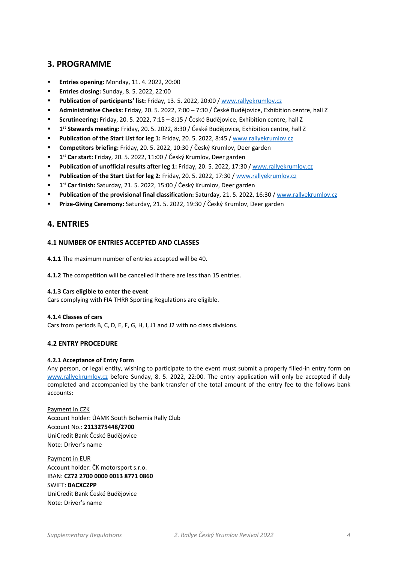# **3. PROGRAMME**

- **Entries opening:** Monday, 11. 4. 2022, 20:00
- **Entries closing:** Sunday, 8. 5. 2022, 22:00
- **Publication of participants' list:** Friday, 13. 5. 2022, 20:00 / www.rallyekrumlov.cz
- **Administrative Checks:** Friday, 20. 5. 2022, 7:00 7:30 / České Budějovice, Exhibition centre, hall Z
- **Scrutineering:** Friday, 20. 5. 2022, 7:15 8:15 / České Budějovice, Exhibition centre, hall Z
- **1st Stewards meeting:** Friday, 20. 5. 2022, 8:30 / České Budějovice, Exhibition centre, hall Z
- **Publication of the Start List for leg 1:** Friday, 20. 5. 2022, 8:45 / www.rallyekrumlov.cz
- **Competitors briefing:** Friday, 20. 5. 2022, 10:30 / Český Krumlov, Deer garden
- **1st Car start:** Friday, 20. 5. 2022, 11:00 / Český Krumlov, Deer garden
- **Publication of unofficial results after leg 1:** Friday, 20. 5. 2022, 17:30 / www.rallyekrumlov.cz
- **Publication of the Start List for leg 2:** Friday, 20. 5. 2022, 17:30 / www.rallyekrumlov.cz
- **1st Car finish:** Saturday, 21. 5. 2022, 15:00 / Český Krumlov, Deer garden
- **Publication of the provisional final classification:** Saturday, 21. 5. 2022, 16:30 / www.rallyekrumlov.cz
- **Prize‐Giving Ceremony:** Saturday, 21. 5. 2022, 19:30 / Český Krumlov, Deer garden

# **4. ENTRIES**

### **4.1 NUMBER OF ENTRIES ACCEPTED AND CLASSES**

**4.1.1** The maximum number of entries accepted will be 40.

**4.1.2** The competition will be cancelled if there are less than 15 entries.

### **4.1.3 Cars eligible to enter the event**

Cars complying with FIA THRR Sporting Regulations are eligible.

### **4.1.4 Classes of cars**

Cars from periods B, C, D, E, F, G, H, I, J1 and J2 with no class divisions.

### **4.2 ENTRY PROCEDURE**

### **4.2.1 Acceptance of Entry Form**

Any person, or legal entity, wishing to participate to the event must submit a properly filled-in entry form on www.rallyekrumlov.cz before Sunday, 8. 5. 2022, 22:00. The entry application will only be accepted if duly completed and accompanied by the bank transfer of the total amount of the entry fee to the follows bank accounts:

Payment in CZK Account holder: ÚAMK South Bohemia Rally Club Account No.: **2113275448/2700** UniCredit Bank České Budějovice Note: Driver's name

Payment in EUR Account holder: ČK motorsport s.r.o. IBAN: **CZ72 2700 0000 0013 8771 0860** SWIFT: **BACXCZPP** UniCredit Bank České Budějovice Note: Driver's name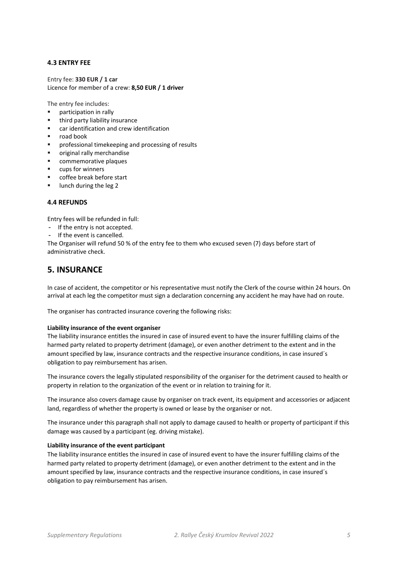### **4.3 ENTRY FEE**

Entry fee: **330 EUR / 1 car** Licence for member of a crew: **8,50 EUR / 1 driver**

The entry fee includes:

- participation in rally
- third party liability insurance
- car identification and crew identification
- road book
- **PEDRIFFEREEPIER IN** professional time keeping and processing of results
- original rally merchandise
- commemorative plaques
- cups for winners
- coffee break before start
- **IDURE:** 1 lunch during the leg 2

### **4.4 REFUNDS**

Entry fees will be refunded in full:

- If the entry is not accepted.
- If the event is cancelled.

The Organiser will refund 50 % of the entry fee to them who excused seven (7) days before start of administrative check.

# **5. INSURANCE**

In case of accident, the competitor or his representative must notify the Clerk of the course within 24 hours. On arrival at each leg the competitor must sign a declaration concerning any accident he may have had on route.

The organiser has contracted insurance covering the following risks:

#### **Liability insurance of the event organiser**

The liability insurance entitles the insured in case of insured event to have the insurer fulfilling claims of the harmed party related to property detriment (damage), or even another detriment to the extent and in the amount specified by law, insurance contracts and the respective insurance conditions, in case insured´s obligation to pay reimbursement has arisen.

The insurance covers the legally stipulated responsibility of the organiser for the detriment caused to health or property in relation to the organization of the event or in relation to training for it.

The insurance also covers damage cause by organiser on track event, its equipment and accessories or adjacent land, regardless of whether the property is owned or lease by the organiser or not.

The insurance under this paragraph shall not apply to damage caused to health or property of participant if this damage was caused by a participant (eg. driving mistake).

#### **Liability insurance of the event participant**

The liability insurance entitles the insured in case of insured event to have the insurer fulfilling claims of the harmed party related to property detriment (damage), or even another detriment to the extent and in the amount specified by law, insurance contracts and the respective insurance conditions, in case insured´s obligation to pay reimbursement has arisen.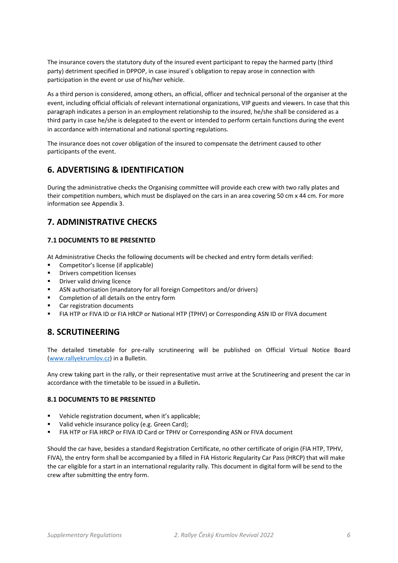The insurance covers the statutory duty of the insured event participant to repay the harmed party (third party) detriment specified in DPPOP, in case insured´s obligation to repay arose in connection with participation in the event or use of his/her vehicle.

As a third person is considered, among others, an official, officer and technical personal of the organiser at the event, including official officials of relevant international organizations, VIP guests and viewers. In case that this paragraph indicates a person in an employment relationship to the insured, he/she shall be considered as a third party in case he/she is delegated to the event or intended to perform certain functions during the event in accordance with international and national sporting regulations.

The insurance does not cover obligation of the insured to compensate the detriment caused to other participants of the event.

# **6. ADVERTISING & IDENTIFICATION**

During the administrative checks the Organising committee will provide each crew with two rally plates and their competition numbers, which must be displayed on the cars in an area covering 50 cm x 44 cm. For more information see Appendix 3.

# **7. ADMINISTRATIVE CHECKS**

### **7.1 DOCUMENTS TO BE PRESENTED**

At Administrative Checks the following documents will be checked and entry form details verified:

- Competitor's license (if applicable)
- Drivers competition licenses
- Driver valid driving licence
- ASN authorisation (mandatory for all foreign Competitors and/or drivers)
- Completion of all details on the entry form
- Car registration documents
- FIA HTP or FIVA ID or FIA HRCP or National HTP (TPHV) or Corresponding ASN ID or FIVA document

# **8. SCRUTINEERING**

The detailed timetable for pre‐rally scrutineering will be published on Official Virtual Notice Board (www.rallyekrumlov.cz) in a Bulletin.

Any crew taking part in the rally, or their representative must arrive at the Scrutineering and present the car in accordance with the timetable to be issued in a Bulletin**.**

### **8.1 DOCUMENTS TO BE PRESENTED**

- Vehicle registration document, when it's applicable;
- Valid vehicle insurance policy (e.g. Green Card);
- FIA HTP or FIA HRCP or FIVA ID Card or TPHV or Corresponding ASN or FIVA document

Should the car have, besides a standard Registration Certificate, no other certificate of origin (FIA HTP, TPHV, FIVA), the entry form shall be accompanied by a filled in FIA Historic Regularity Car Pass (HRCP) that will make the car eligible for a start in an international regularity rally. This document in digital form will be send to the crew after submitting the entry form.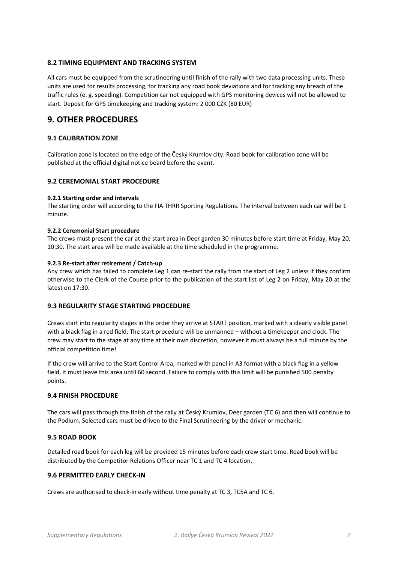### **8.2 TIMING EQUIPMENT AND TRACKING SYSTEM**

All cars must be equipped from the scrutineering until finish of the rally with two data processing units. These units are used for results processing, for tracking any road book deviations and for tracking any breach of the traffic rules (e. g. speeding). Competition car not equipped with GPS monitoring devices will not be allowed to start. Deposit for GPS timekeeping and tracking system: 2 000 CZK (80 EUR)

# **9. OTHER PROCEDURES**

### **9.1 CALIBRATION ZONE**

Calibration zone is located on the edge of the Český Krumlov city. Road book for calibration zone will be published at the official digital notice board before the event.

### **9.2 CEREMONIAL START PROCEDURE**

### **9.2.1 Starting order and intervals**

The starting order will according to the FIA THRR Sporting Regulations. The interval between each car will be 1 minute.

#### **9.2.2 Ceremonial Start procedure**

The crews must present the car at the start area in Deer garden 30 minutes before start time at Friday, May 20, 10:30. The start area will be made available at the time scheduled in the programme.

### **9.2.3 Re‐start after retirement / Catch‐up**

Any crew which has failed to complete Leg 1 can re-start the rally from the start of Leg 2 unless if they confirm otherwise to the Clerk of the Course prior to the publication of the start list of Leg 2 on Friday, May 20 at the latest on 17:30.

### **9.3 REGULARITY STAGE STARTING PROCEDURE**

Crews start into regularity stages in the order they arrive at START position, marked with a clearly visible panel with a black flag in a red field. The start procedure will be unmanned – without a timekeeper and clock. The crew may start to the stage at any time at their own discretion, however it must always be a full minute by the official competition time!

If the crew will arrive to the Start Control Area, marked with panel in A3 format with a black flag in a yellow field, it must leave this area until 60 second. Failure to comply with this limit will be punished 500 penalty points.

### **9.4 FINISH PROCEDURE**

The cars will pass through the finish of the rally at Český Krumlov, Deer garden (TC 6) and then will continue to the Podium. Selected cars must be driven to the Final Scrutineering by the driver or mechanic.

### **9.5 ROAD BOOK**

Detailed road book for each leg will be provided 15 minutes before each crew start time. Road book will be distributed by the Competitor Relations Officer near TC 1 and TC 4 location.

### **9.6 PERMITTED EARLY CHECK‐IN**

Crews are authorised to check‐in early without time penalty at TC 3, TC5A and TC 6.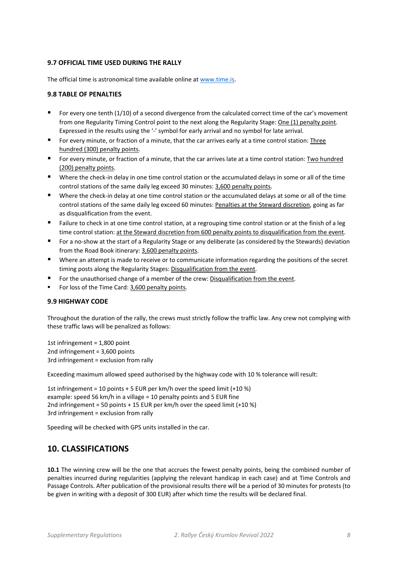### **9.7 OFFICIAL TIME USED DURING THE RALLY**

The official time is astronomical time available online at www.time.is.

### **9.8 TABLE OF PENALTIES**

- For every one tenth  $(1/10)$  of a second divergence from the calculated correct time of the car's movement from one Regularity Timing Control point to the next along the Regularity Stage: One (1) penalty point. Expressed in the results using the '-' symbol for early arrival and no symbol for late arrival.
- For every minute, or fraction of a minute, that the car arrives early at a time control station: Three hundred (300) penalty points.
- For every minute, or fraction of a minute, that the car arrives late at a time control station: Two hundred (200) penalty points.
- Where the check-in delay in one time control station or the accumulated delays in some or all of the time control stations of the same daily leg exceed 30 minutes: 3,600 penalty points.
- Where the check-in delay at one time control station or the accumulated delays at some or all of the time control stations of the same daily leg exceed 60 minutes: Penalties at the Steward discretion, going as far as disqualification from the event.
- Failure to check in at one time control station, at a regrouping time control station or at the finish of a leg time control station: at the Steward discretion from 600 penalty points to disqualification from the event.
- For a no-show at the start of a Regularity Stage or any deliberate (as considered by the Stewards) deviation from the Road Book itinerary: 3,600 penalty points.
- Where an attempt is made to receive or to communicate information regarding the positions of the secret timing posts along the Regularity Stages: Disqualification from the event.
- For the unauthorised change of a member of the crew: Disqualification from the event.
- For loss of the Time Card: 3,600 penalty points.

### **9.9 HIGHWAY CODE**

Throughout the duration of the rally, the crews must strictly follow the traffic law. Any crew not complying with these traffic laws will be penalized as follows:

1st infringement = 1,800 point 2nd infringement = 3,600 points 3rd infringement = exclusion from rally

Exceeding maximum allowed speed authorised by the highway code with 10 % tolerance will result:

1st infringement = 10 points + 5 EUR per km/h over the speed limit (+10 %) example: speed 56 km/h in a village = 10 penalty points and 5 EUR fine 2nd infringement = 50 points + 15 EUR per km/h over the speed limit (+10 %) 3rd infringement = exclusion from rally

Speeding will be checked with GPS units installed in the car.

# **10. CLASSIFICATIONS**

**10.1** The winning crew will be the one that accrues the fewest penalty points, being the combined number of penalties incurred during regularities (applying the relevant handicap in each case) and at Time Controls and Passage Controls. After publication of the provisional results there will be a period of 30 minutes for protests (to be given in writing with a deposit of 300 EUR) after which time the results will be declared final.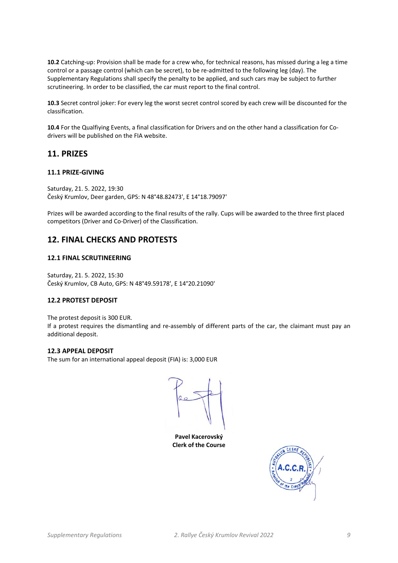**10.2** Catching‐up: Provision shall be made for a crew who, for technical reasons, has missed during a leg a time control or a passage control (which can be secret), to be re-admitted to the following leg (day). The Supplementary Regulations shall specify the penalty to be applied, and such cars may be subject to further scrutineering. In order to be classified, the car must report to the final control.

**10.3** Secret control joker: For every leg the worst secret control scored by each crew will be discounted for the classification.

**10.4** For the Qualfiying Events, a final classification for Drivers and on the other hand a classification for Co‐ drivers will be published on the FIA website.

# **11. PRIZES**

### **11.1 PRIZE‐GIVING**

Saturday, 21. 5. 2022, 19:30 Český Krumlov, Deer garden, GPS: N 48°48.82473', E 14°18.79097'

Prizes will be awarded according to the final results of the rally. Cups will be awarded to the three first placed competitors (Driver and Co‐Driver) of the Classification.

# **12. FINAL CHECKS AND PROTESTS**

### **12.1 FINAL SCRUTINEERING**

Saturday, 21. 5. 2022, 15:30 Český Krumlov, CB Auto, GPS: N 48°49.59178', E 14°20.21090'

### **12.2 PROTEST DEPOSIT**

The protest deposit is 300 EUR. If a protest requires the dismantling and re-assembly of different parts of the car, the claimant must pay an additional deposit.

### **12.3 APPEAL DEPOSIT**

The sum for an international appeal deposit (FIA) is: 3,000 EUR

**Pavel Kacerovský Clerk of the Course**

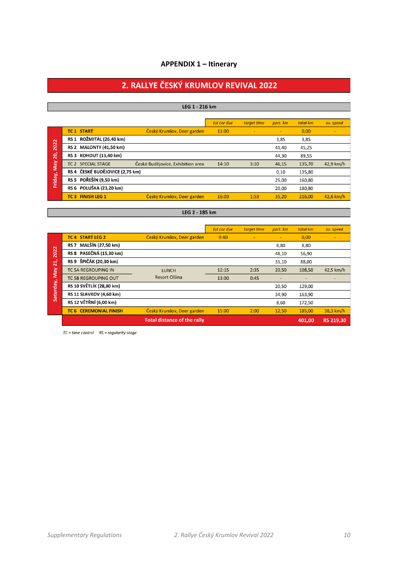### **APPENDIX 1 – Itinerary**

# 2. RALLYE ČESKÝ KRUMLOV REVIVAL 2022

### LEG 1 - 216 km

|                                          |                                 |                                   | 1st car due | target time | part. km | total km | av. speed   |
|------------------------------------------|---------------------------------|-----------------------------------|-------------|-------------|----------|----------|-------------|
|                                          | <b>TC1 START</b>                | Český Krumlov, Deer garden        | 11:00       | ٠           | ٠        | 0,00     | $\sim$      |
|                                          | RS 1 ROŽMITÁL (26,40 km)        |                                   |             |             | 3,85     | 3,85     |             |
| 2022                                     | RS 2 MALONTY (41,50 km)         |                                   |             |             | 41,40    | 45,25    |             |
| $\overline{20}$<br><b>May</b><br>Friday, | RS 3 KOHOUT (13,40 km)          |                                   |             |             | 44,30    | 89,55    |             |
|                                          | TC 2 SPECIAL STAGE              | České Budějovice, Exhibition area | 14:10       | 3:10        | 46,15    | 135,70   | 42,9 km/h   |
|                                          | RS 4 ČESKÉ BUDĚJOVICE (2,75 km) |                                   |             |             | 0,10     | 135,80   |             |
|                                          | RS 5 POŘEŠÍN (9,50 km)          |                                   |             |             | 25,00    | 160,80   |             |
|                                          | RS 6 POLUŠKA (23,20 km)         |                                   |             |             | 20.00    | 180,80   |             |
|                                          | <b>TC 3 FINISH LEG 1</b>        | Český Krumlov, Deer garden        | 16:03       | 1:53        | 35.20    | 216,00   | $42.6$ km/h |

### LEG 2 - 185 km

|                                          |                                |                                    | 1st car due | target time | part. km | total km | av. speed        |
|------------------------------------------|--------------------------------|------------------------------------|-------------|-------------|----------|----------|------------------|
| 2022<br>$\overline{21}$<br>Saturday, May | <b>TC 4 START LEG 2</b>        | Český Krumlov, Deer garden         | 9:40        |             | ٠        | 0,00     |                  |
|                                          | RS 7 MALŠÍN (27,50 km)         |                                    |             |             | 8,80     | 8,80     |                  |
|                                          | RS 8 PASEČNÁ (15,30 km)        |                                    |             |             | 48,10    | 56,90    |                  |
|                                          | RS 9 ŠPIČÁK (20,30 km)         |                                    |             |             | 31,10    | 88,00    |                  |
|                                          | <b>TC 5A REGROUPING IN</b>     | <b>LUNCH</b>                       | 12:15       | 2:35        | 20,50    | 108,50   | 42,5 km/h        |
|                                          | <b>TC 5B REGROUPING OUT</b>    | Resort Olšina                      | 13:00       | 0:45        |          |          |                  |
|                                          | RS 10 SVĚTLÍK (28,80 km)       |                                    |             |             | 20,50    | 129,00   |                  |
|                                          | <b>RS 11 SLAVKOV (4,60 km)</b> |                                    |             |             | 34,90    | 163,90   |                  |
|                                          | RS 12 VĚTŘNÍ (6,00 km)         |                                    |             |             | 8,60     | 172,50   |                  |
|                                          | <b>TC 6 CEREMONIAL FINISH</b>  | Český Krumlov, Deer garden         | 15:00       | 2:00        | 12,50    | 185,00   | 38,3 km/h        |
|                                          |                                | <b>Total distance of the rally</b> |             |             |          | 401.00   | <b>RS 219.30</b> |

 $TC = time control$   $RS = regularity stage$